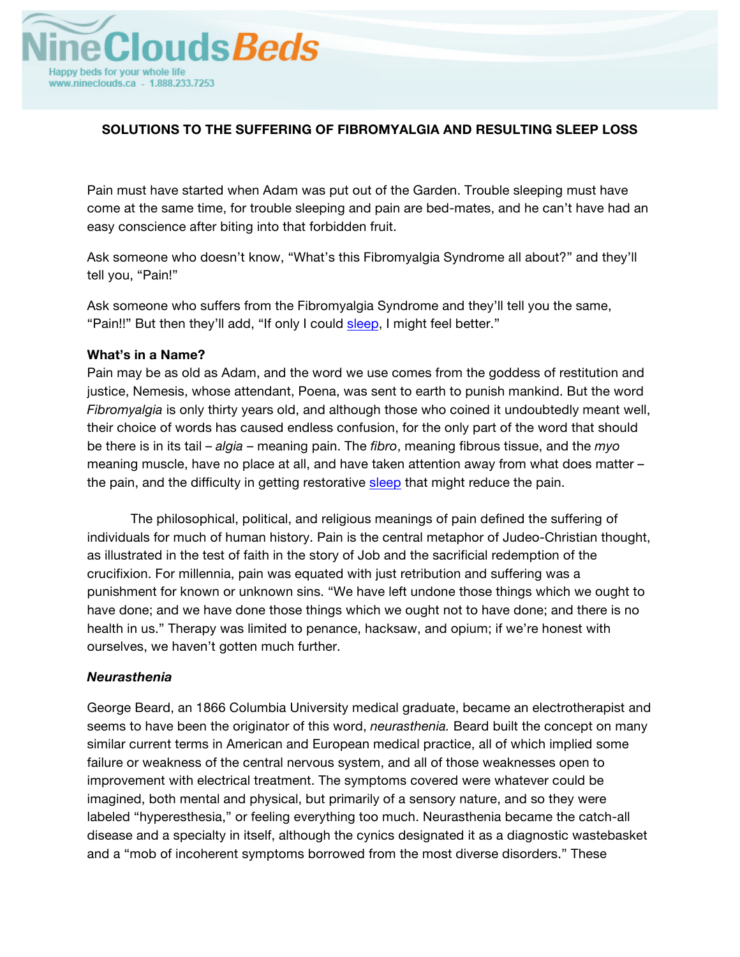

# **SOLUTIONS TO THE SUFFERING OF FIBROMYALGIA AND RESULTING SLEEP LOSS**

Pain must have started when Adam was put out of the Garden. Trouble sleeping must have come at the same time, for trouble sleeping and pain are bed-mates, and he can't have had an easy conscience after biting into that forbidden fruit.

Ask someone who doesn't know, "What's this Fibromyalgia Syndrome all about?" and they'll tell you, "Pain!"

Ask someone who suffers from the Fibromyalgia Syndrome and they'll tell you the same, "Pain!!" But then they'll add, "If only I could sleep, I might feel better."

## **What's in a Name?**

Pain may be as old as Adam, and the word we use comes from the goddess of restitution and justice, Nemesis, whose attendant, Poena, was sent to earth to punish mankind. But the word *Fibromyalgia* is only thirty years old, and although those who coined it undoubtedly meant well, their choice of words has caused endless confusion, for the only part of the word that should be there is in its tail – *algia* – meaning pain. The *fibro*, meaning fibrous tissue, and the *myo* meaning muscle, have no place at all, and have taken attention away from what does matter – the pain, and the difficulty in getting restorative sleep that might reduce the pain.

The philosophical, political, and religious meanings of pain defined the suffering of individuals for much of human history. Pain is the central metaphor of Judeo-Christian thought, as illustrated in the test of faith in the story of Job and the sacrificial redemption of the crucifixion. For millennia, pain was equated with just retribution and suffering was a punishment for known or unknown sins. "We have left undone those things which we ought to have done; and we have done those things which we ought not to have done; and there is no health in us." Therapy was limited to penance, hacksaw, and opium; if we're honest with ourselves, we haven't gotten much further.

## *Neurasthenia*

George Beard, an 1866 Columbia University medical graduate, became an electrotherapist and seems to have been the originator of this word, *neurasthenia.* Beard built the concept on many similar current terms in American and European medical practice, all of which implied some failure or weakness of the central nervous system, and all of those weaknesses open to improvement with electrical treatment. The symptoms covered were whatever could be imagined, both mental and physical, but primarily of a sensory nature, and so they were labeled "hyperesthesia," or feeling everything too much. Neurasthenia became the catch-all disease and a specialty in itself, although the cynics designated it as a diagnostic wastebasket and a "mob of incoherent symptoms borrowed from the most diverse disorders." These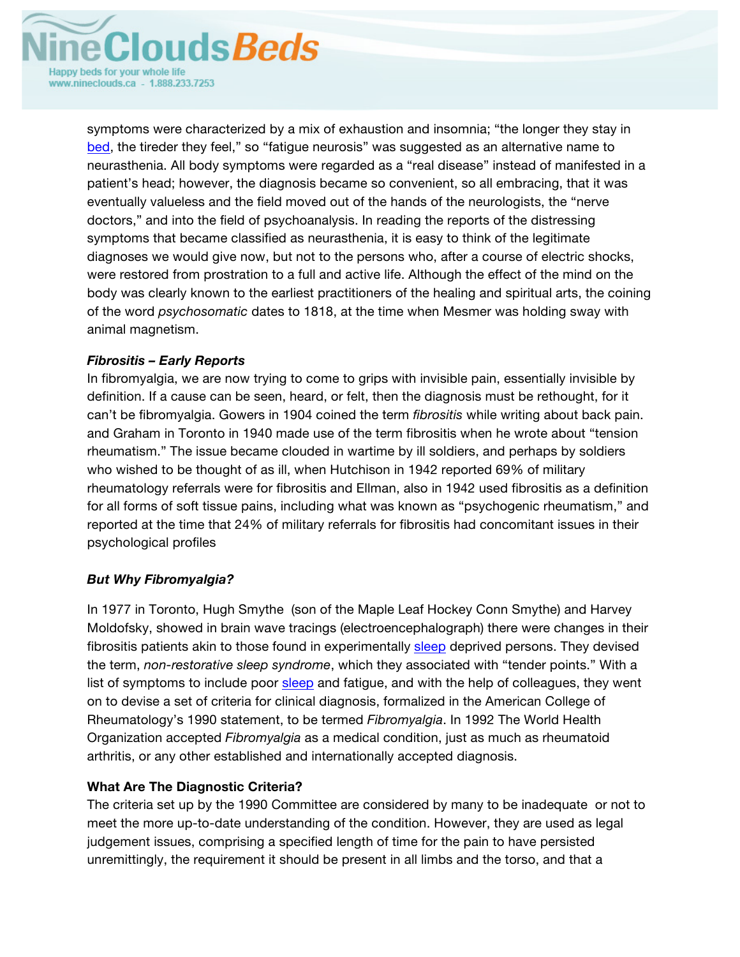

symptoms were characterized by a mix of exhaustion and insomnia; "the longer they stay in bed, the tireder they feel," so "fatigue neurosis" was suggested as an alternative name to neurasthenia. All body symptoms were regarded as a "real disease" instead of manifested in a patient's head; however, the diagnosis became so convenient, so all embracing, that it was eventually valueless and the field moved out of the hands of the neurologists, the "nerve doctors," and into the field of psychoanalysis. In reading the reports of the distressing symptoms that became classified as neurasthenia, it is easy to think of the legitimate diagnoses we would give now, but not to the persons who, after a course of electric shocks, were restored from prostration to a full and active life. Although the effect of the mind on the body was clearly known to the earliest practitioners of the healing and spiritual arts, the coining of the word *psychosomatic* dates to 1818, at the time when Mesmer was holding sway with animal magnetism.

# *Fibrositis – Early Reports*

In fibromyalgia, we are now trying to come to grips with invisible pain, essentially invisible by definition. If a cause can be seen, heard, or felt, then the diagnosis must be rethought, for it can't be fibromyalgia. Gowers in 1904 coined the term *fibrositis* while writing about back pain. and Graham in Toronto in 1940 made use of the term fibrositis when he wrote about "tension rheumatism." The issue became clouded in wartime by ill soldiers, and perhaps by soldiers who wished to be thought of as ill, when Hutchison in 1942 reported 69% of military rheumatology referrals were for fibrositis and Ellman, also in 1942 used fibrositis as a definition for all forms of soft tissue pains, including what was known as "psychogenic rheumatism," and reported at the time that 24% of military referrals for fibrositis had concomitant issues in their psychological profiles

# *But Why Fibromyalgia?*

In 1977 in Toronto, Hugh Smythe (son of the Maple Leaf Hockey Conn Smythe) and Harvey Moldofsky, showed in brain wave tracings (electroencephalograph) there were changes in their fibrositis patients akin to those found in experimentally sleep deprived persons. They devised the term, *non-restorative sleep syndrome*, which they associated with "tender points." With a list of symptoms to include poor sleep and fatigue, and with the help of colleagues, they went on to devise a set of criteria for clinical diagnosis, formalized in the American College of Rheumatology's 1990 statement, to be termed *Fibromyalgia*. In 1992 The World Health Organization accepted *Fibromyalgia* as a medical condition, just as much as rheumatoid arthritis, or any other established and internationally accepted diagnosis.

# **What Are The Diagnostic Criteria?**

The criteria set up by the 1990 Committee are considered by many to be inadequate or not to meet the more up-to-date understanding of the condition. However, they are used as legal judgement issues, comprising a specified length of time for the pain to have persisted unremittingly, the requirement it should be present in all limbs and the torso, and that a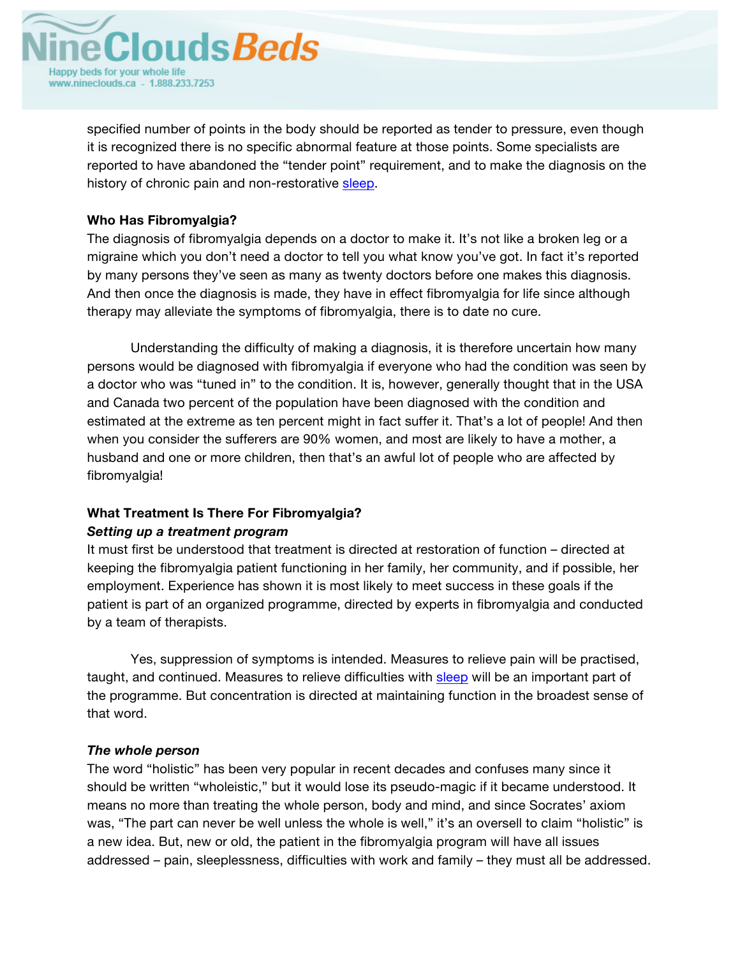

specified number of points in the body should be reported as tender to pressure, even though it is recognized there is no specific abnormal feature at those points. Some specialists are reported to have abandoned the "tender point" requirement, and to make the diagnosis on the history of chronic pain and non-restorative sleep.

# **Who Has Fibromyalgia?**

The diagnosis of fibromyalgia depends on a doctor to make it. It's not like a broken leg or a migraine which you don't need a doctor to tell you what know you've got. In fact it's reported by many persons they've seen as many as twenty doctors before one makes this diagnosis. And then once the diagnosis is made, they have in effect fibromyalgia for life since although therapy may alleviate the symptoms of fibromyalgia, there is to date no cure.

Understanding the difficulty of making a diagnosis, it is therefore uncertain how many persons would be diagnosed with fibromyalgia if everyone who had the condition was seen by a doctor who was "tuned in" to the condition. It is, however, generally thought that in the USA and Canada two percent of the population have been diagnosed with the condition and estimated at the extreme as ten percent might in fact suffer it. That's a lot of people! And then when you consider the sufferers are 90% women, and most are likely to have a mother, a husband and one or more children, then that's an awful lot of people who are affected by fibromyalgia!

# **What Treatment Is There For Fibromyalgia?** *Setting up a treatment program*

# It must first be understood that treatment is directed at restoration of function – directed at keeping the fibromyalgia patient functioning in her family, her community, and if possible, her employment. Experience has shown it is most likely to meet success in these goals if the patient is part of an organized programme, directed by experts in fibromyalgia and conducted by a team of therapists.

Yes, suppression of symptoms is intended. Measures to relieve pain will be practised, taught, and continued. Measures to relieve difficulties with sleep will be an important part of the programme. But concentration is directed at maintaining function in the broadest sense of that word.

# *The whole person*

The word "holistic" has been very popular in recent decades and confuses many since it should be written "wholeistic," but it would lose its pseudo-magic if it became understood. It means no more than treating the whole person, body and mind, and since Socrates' axiom was, "The part can never be well unless the whole is well," it's an oversell to claim "holistic" is a new idea. But, new or old, the patient in the fibromyalgia program will have all issues addressed – pain, sleeplessness, difficulties with work and family – they must all be addressed.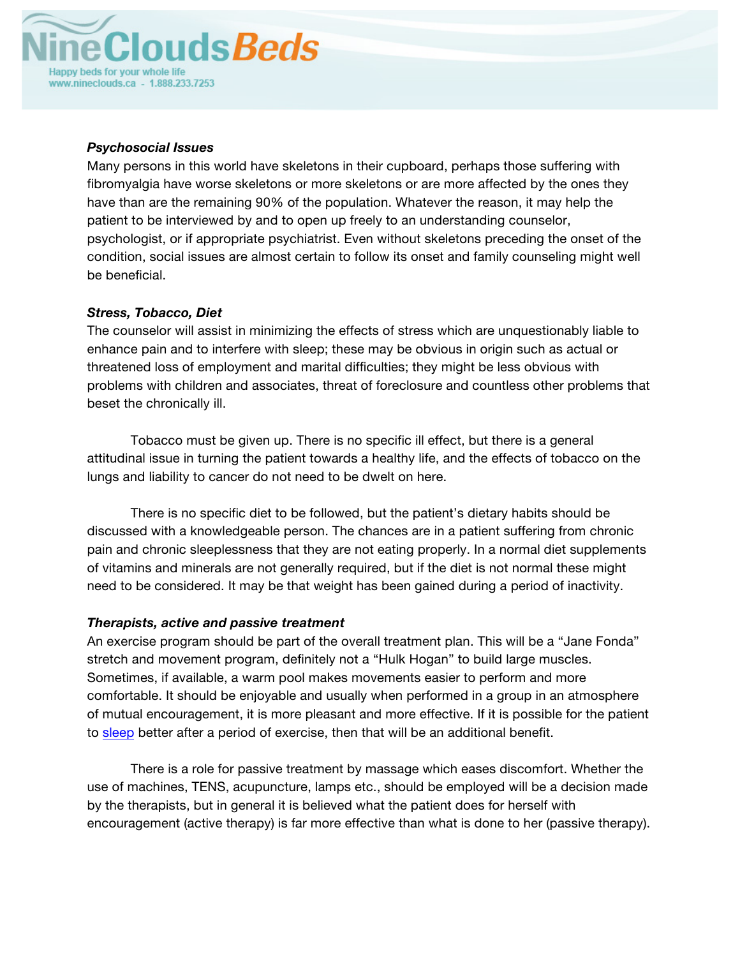

## *Psychosocial Issues*

Many persons in this world have skeletons in their cupboard, perhaps those suffering with fibromyalgia have worse skeletons or more skeletons or are more affected by the ones they have than are the remaining 90% of the population. Whatever the reason, it may help the patient to be interviewed by and to open up freely to an understanding counselor, psychologist, or if appropriate psychiatrist. Even without skeletons preceding the onset of the condition, social issues are almost certain to follow its onset and family counseling might well be beneficial.

# *Stress, Tobacco, Diet*

The counselor will assist in minimizing the effects of stress which are unquestionably liable to enhance pain and to interfere with sleep; these may be obvious in origin such as actual or threatened loss of employment and marital difficulties; they might be less obvious with problems with children and associates, threat of foreclosure and countless other problems that beset the chronically ill.

Tobacco must be given up. There is no specific ill effect, but there is a general attitudinal issue in turning the patient towards a healthy life, and the effects of tobacco on the lungs and liability to cancer do not need to be dwelt on here.

There is no specific diet to be followed, but the patient's dietary habits should be discussed with a knowledgeable person. The chances are in a patient suffering from chronic pain and chronic sleeplessness that they are not eating properly. In a normal diet supplements of vitamins and minerals are not generally required, but if the diet is not normal these might need to be considered. It may be that weight has been gained during a period of inactivity.

## *Therapists, active and passive treatment*

An exercise program should be part of the overall treatment plan. This will be a "Jane Fonda" stretch and movement program, definitely not a "Hulk Hogan" to build large muscles. Sometimes, if available, a warm pool makes movements easier to perform and more comfortable. It should be enjoyable and usually when performed in a group in an atmosphere of mutual encouragement, it is more pleasant and more effective. If it is possible for the patient to sleep better after a period of exercise, then that will be an additional benefit.

There is a role for passive treatment by massage which eases discomfort. Whether the use of machines, TENS, acupuncture, lamps etc., should be employed will be a decision made by the therapists, but in general it is believed what the patient does for herself with encouragement (active therapy) is far more effective than what is done to her (passive therapy).